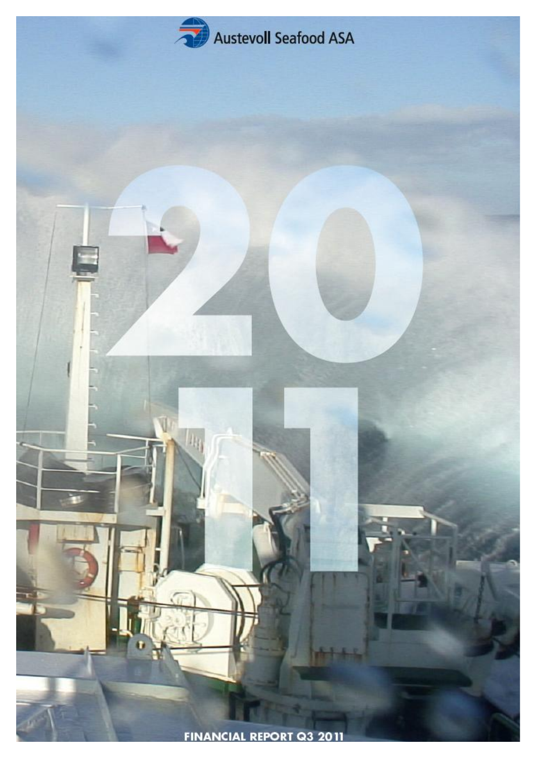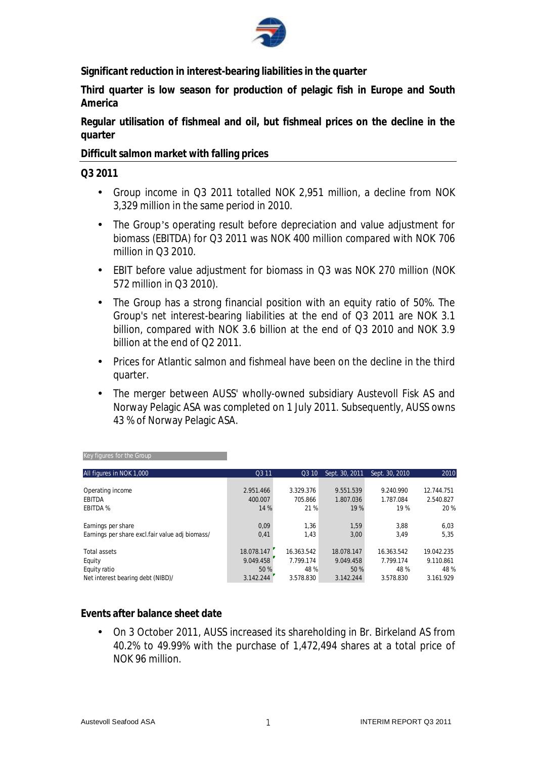

**Significant reduction in interest-bearing liabilities in the quarter** 

**Third quarter is low season for production of pelagic fish in Europe and South America** 

**Regular utilisation of fishmeal and oil, but fishmeal prices on the decline in the quarter** 

**Difficult salmon market with falling prices** 

#### **Q3 2011**

- Group income in Q3 2011 totalled NOK 2,951 million, a decline from NOK 3,329 million in the same period in 2010.
- The Group's operating result before depreciation and value adjustment for biomass (EBITDA) for Q3 2011 was NOK 400 million compared with NOK 706 million in Q3 2010.
- EBIT before value adjustment for biomass in Q3 was NOK 270 million (NOK 572 million in Q3 2010).
- The Group has a strong financial position with an equity ratio of 50%. The Group's net interest-bearing liabilities at the end of Q3 2011 are NOK 3.1 billion, compared with NOK 3.6 billion at the end of Q3 2010 and NOK 3.9 billion at the end of Q2 2011.
- Prices for Atlantic salmon and fishmeal have been on the decline in the third quarter.
- The merger between AUSS' wholly-owned subsidiary Austevoll Fisk AS and Norway Pelagic ASA was completed on 1 July 2011. Subsequently, AUSS owns 43 % of Norway Pelagic ASA.

| All figures in NOK 1,000                        | Q3 11      | Q3 10      | Sept. 30, 2011 | Sept. 30, 2010 | 2010       |
|-------------------------------------------------|------------|------------|----------------|----------------|------------|
|                                                 |            |            |                |                |            |
| Operating income                                | 2.951.466  | 3.329.376  | 9.551.539      | 9.240.990      | 12.744.751 |
| <b>EBITDA</b>                                   | 400.007    | 705.866    | 1.807.036      | 1.787.084      | 2.540.827  |
| <b>EBITDA %</b>                                 | 14 %       | 21 %       | 19 %           | 19 %           | 20 %       |
| Earnings per share                              | 0,09       | 1,36       | 1,59           | 3,88           | 6,03       |
| Earnings per share excl.fair value adj biomass/ | 0,41       | 1,43       | 3.00           | 3.49           | 5,35       |
| Total assets                                    | 18.078.147 | 16.363.542 | 18.078.147     | 16.363.542     | 19.042.235 |
| Equity                                          | 9.049.458  | 7.799.174  | 9.049.458      | 7.799.174      | 9.110.861  |
| Equity ratio                                    | 50 %       | 48 %       | 50 %           | 48 %           | 48 %       |
| Net interest bearing debt (NIBD)/               | 3.142.244  | 3.578.830  | 3.142.244      | 3.578.830      | 3.161.929  |

#### Key figures for the Group

#### **Events after balance sheet date**

• On 3 October 2011, AUSS increased its shareholding in Br. Birkeland AS from 40.2% to 49.99% with the purchase of 1,472,494 shares at a total price of NOK 96 million.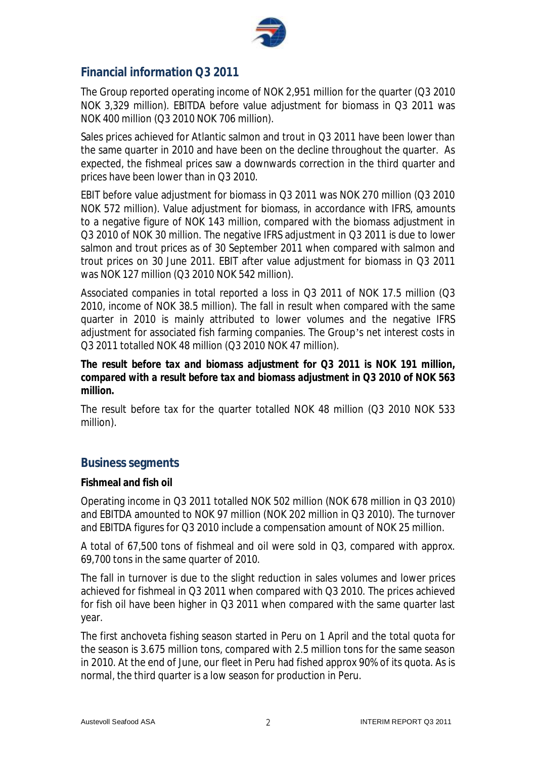

## **Financial information Q3 2011**

The Group reported operating income of NOK 2,951 million for the quarter (Q3 2010 NOK 3,329 million). EBITDA before value adjustment for biomass in Q3 2011 was NOK 400 million (Q3 2010 NOK 706 million).

Sales prices achieved for Atlantic salmon and trout in Q3 2011 have been lower than the same quarter in 2010 and have been on the decline throughout the quarter. As expected, the fishmeal prices saw a downwards correction in the third quarter and prices have been lower than in Q3 2010.

EBIT before value adjustment for biomass in Q3 2011 was NOK 270 million (Q3 2010 NOK 572 million). Value adjustment for biomass, in accordance with IFRS, amounts to a negative figure of NOK 143 million, compared with the biomass adjustment in Q3 2010 of NOK 30 million. The negative IFRS adjustment in Q3 2011 is due to lower salmon and trout prices as of 30 September 2011 when compared with salmon and trout prices on 30 June 2011. EBIT after value adjustment for biomass in Q3 2011 was NOK 127 million (Q3 2010 NOK 542 million).

Associated companies in total reported a loss in Q3 2011 of NOK 17.5 million (Q3 2010, income of NOK 38.5 million). The fall in result when compared with the same quarter in 2010 is mainly attributed to lower volumes and the negative IFRS adjustment for associated fish farming companies. The Group's net interest costs in Q3 2011 totalled NOK 48 million (Q3 2010 NOK 47 million).

*The result before tax and biomass adjustment for Q3 2011 is NOK 191 million, compared with a result before tax and biomass adjustment in Q3 2010 of NOK 563 million.* 

The result before tax for the quarter totalled NOK 48 million (Q3 2010 NOK 533 million).

## **Business segments**

#### **Fishmeal and fish oil**

Operating income in Q3 2011 totalled NOK 502 million (NOK 678 million in Q3 2010) and EBITDA amounted to NOK 97 million (NOK 202 million in Q3 2010). The turnover and EBITDA figures for Q3 2010 include a compensation amount of NOK 25 million.

A total of 67,500 tons of fishmeal and oil were sold in Q3, compared with approx. 69,700 tons in the same quarter of 2010.

The fall in turnover is due to the slight reduction in sales volumes and lower prices achieved for fishmeal in Q3 2011 when compared with Q3 2010. The prices achieved for fish oil have been higher in Q3 2011 when compared with the same quarter last year.

The first anchoveta fishing season started in Peru on 1 April and the total quota for the season is 3.675 million tons, compared with 2.5 million tons for the same season in 2010. At the end of June, our fleet in Peru had fished approx 90% of its quota. As is normal, the third quarter is a low season for production in Peru.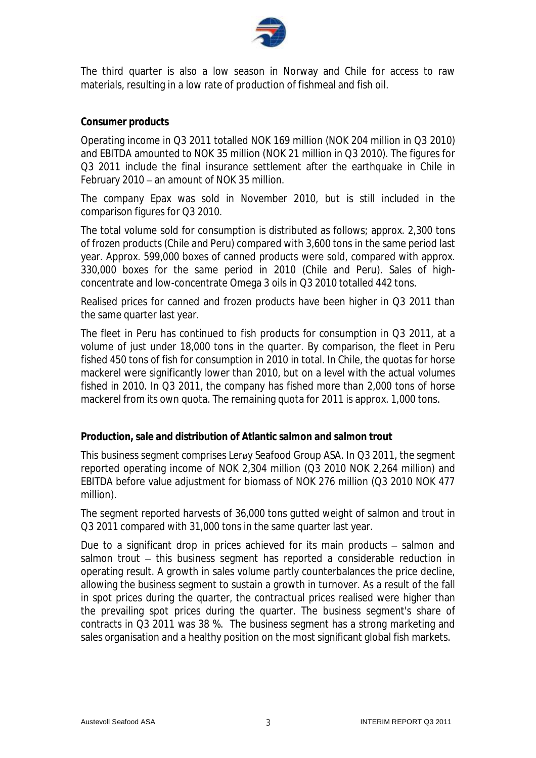

The third quarter is also a low season in Norway and Chile for access to raw materials, resulting in a low rate of production of fishmeal and fish oil.

#### **Consumer products**

Operating income in Q3 2011 totalled NOK 169 million (NOK 204 million in Q3 2010) and EBITDA amounted to NOK 35 million (NOK 21 million in Q3 2010). The figures for Q3 2011 include the final insurance settlement after the earthquake in Chile in February 2010 – an amount of NOK 35 million.

The company Epax was sold in November 2010, but is still included in the comparison figures for Q3 2010.

The total volume sold for consumption is distributed as follows; approx. 2,300 tons of frozen products (Chile and Peru) compared with 3,600 tons in the same period last year. Approx. 599,000 boxes of canned products were sold, compared with approx. 330,000 boxes for the same period in 2010 (Chile and Peru). Sales of highconcentrate and low-concentrate Omega 3 oils in Q3 2010 totalled 442 tons.

Realised prices for canned and frozen products have been higher in Q3 2011 than the same quarter last year.

The fleet in Peru has continued to fish products for consumption in Q3 2011, at a volume of just under 18,000 tons in the quarter. By comparison, the fleet in Peru fished 450 tons of fish for consumption in 2010 in total. In Chile, the quotas for horse mackerel were significantly lower than 2010, but on a level with the actual volumes fished in 2010. In Q3 2011, the company has fished more than 2,000 tons of horse mackerel from its own quota. The remaining quota for 2011 is approx. 1,000 tons.

**Production, sale and distribution of Atlantic salmon and salmon trout** 

This business segment comprises Lerøy Seafood Group ASA. In Q3 2011, the segment reported operating income of NOK 2,304 million (Q3 2010 NOK 2,264 million) and EBITDA before value adjustment for biomass of NOK 276 million (Q3 2010 NOK 477 million).

The segment reported harvests of 36,000 tons gutted weight of salmon and trout in Q3 2011 compared with 31,000 tons in the same quarter last year.

Due to a significant drop in prices achieved for its main products – salmon and salmon trout – this business segment has reported a considerable reduction in operating result. A growth in sales volume partly counterbalances the price decline, allowing the business segment to sustain a growth in turnover. As a result of the fall in spot prices during the quarter, the contractual prices realised were higher than the prevailing spot prices during the quarter. The business segment's share of contracts in Q3 2011 was 38 %. The business segment has a strong marketing and sales organisation and a healthy position on the most significant global fish markets.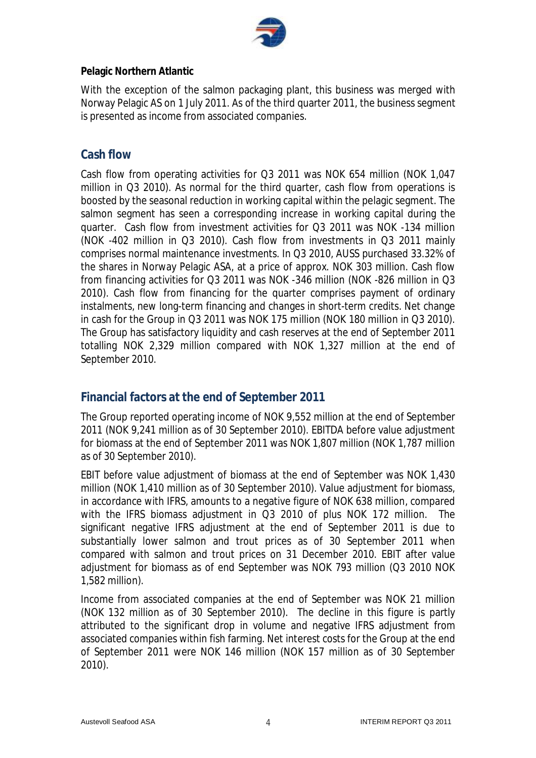

#### **Pelagic Northern Atlantic**

With the exception of the salmon packaging plant, this business was merged with Norway Pelagic AS on 1 July 2011. As of the third quarter 2011, the business segment is presented as income from associated companies.

## **Cash flow**

Cash flow from operating activities for Q3 2011 was NOK 654 million (NOK 1,047 million in Q3 2010). As normal for the third quarter, cash flow from operations is boosted by the seasonal reduction in working capital within the pelagic segment. The salmon segment has seen a corresponding increase in working capital during the quarter. Cash flow from investment activities for Q3 2011 was NOK -134 million (NOK -402 million in Q3 2010). Cash flow from investments in Q3 2011 mainly comprises normal maintenance investments. In Q3 2010, AUSS purchased 33.32% of the shares in Norway Pelagic ASA, at a price of approx. NOK 303 million. Cash flow from financing activities for Q3 2011 was NOK -346 million (NOK -826 million in Q3 2010). Cash flow from financing for the quarter comprises payment of ordinary instalments, new long-term financing and changes in short-term credits. Net change in cash for the Group in Q3 2011 was NOK 175 million (NOK 180 million in Q3 2010). The Group has satisfactory liquidity and cash reserves at the end of September 2011 totalling NOK 2,329 million compared with NOK 1,327 million at the end of September 2010.

# **Financial factors at the end of September 2011**

The Group reported operating income of NOK 9,552 million at the end of September 2011 (NOK 9,241 million as of 30 September 2010). EBITDA before value adjustment for biomass at the end of September 2011 was NOK 1,807 million (NOK 1,787 million as of 30 September 2010).

EBIT before value adjustment of biomass at the end of September was NOK 1,430 million (NOK 1,410 million as of 30 September 2010). Value adjustment for biomass, in accordance with IFRS, amounts to a negative figure of NOK 638 million, compared with the IFRS biomass adjustment in Q3 2010 of plus NOK 172 million. The significant negative IFRS adjustment at the end of September 2011 is due to substantially lower salmon and trout prices as of 30 September 2011 when compared with salmon and trout prices on 31 December 2010. EBIT after value adjustment for biomass as of end September was NOK 793 million (Q3 2010 NOK 1,582 million).

Income from associated companies at the end of September was NOK 21 million (NOK 132 million as of 30 September 2010). The decline in this figure is partly attributed to the significant drop in volume and negative IFRS adjustment from associated companies within fish farming. Net interest costs for the Group at the end of September 2011 were NOK 146 million (NOK 157 million as of 30 September 2010).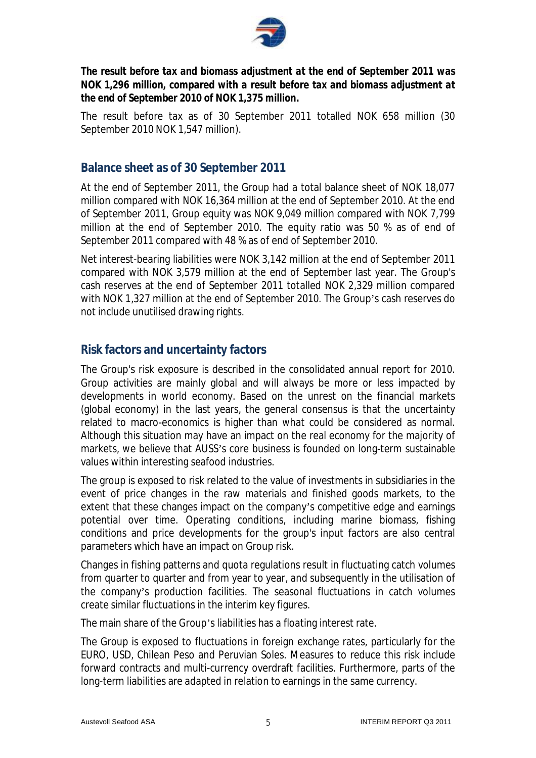

*The result before tax and biomass adjustment at the end of September 2011 was NOK 1,296 million, compared with a result before tax and biomass adjustment at the end of September 2010 of NOK 1,375 million.* 

The result before tax as of 30 September 2011 totalled NOK 658 million (30 September 2010 NOK 1,547 million).

## **Balance sheet as of 30 September 2011**

At the end of September 2011, the Group had a total balance sheet of NOK 18,077 million compared with NOK 16,364 million at the end of September 2010. At the end of September 2011, Group equity was NOK 9,049 million compared with NOK 7,799 million at the end of September 2010. The equity ratio was 50 % as of end of September 2011 compared with 48 % as of end of September 2010.

Net interest-bearing liabilities were NOK 3,142 million at the end of September 2011 compared with NOK 3,579 million at the end of September last year. The Group's cash reserves at the end of September 2011 totalled NOK 2,329 million compared with NOK 1,327 million at the end of September 2010. The Group's cash reserves do not include unutilised drawing rights.

## **Risk factors and uncertainty factors**

The Group's risk exposure is described in the consolidated annual report for 2010. Group activities are mainly global and will always be more or less impacted by developments in world economy. Based on the unrest on the financial markets (global economy) in the last years, the general consensus is that the uncertainty related to macro-economics is higher than what could be considered as normal. Although this situation may have an impact on the real economy for the majority of markets, we believe that AUSS's core business is founded on long-term sustainable values within interesting seafood industries.

The group is exposed to risk related to the value of investments in subsidiaries in the event of price changes in the raw materials and finished goods markets, to the extent that these changes impact on the company's competitive edge and earnings potential over time. Operating conditions, including marine biomass, fishing conditions and price developments for the group's input factors are also central parameters which have an impact on Group risk.

Changes in fishing patterns and quota regulations result in fluctuating catch volumes from quarter to quarter and from year to year, and subsequently in the utilisation of the company's production facilities. The seasonal fluctuations in catch volumes create similar fluctuations in the interim key figures.

The main share of the Group's liabilities has a floating interest rate.

The Group is exposed to fluctuations in foreign exchange rates, particularly for the EURO, USD, Chilean Peso and Peruvian Soles. Measures to reduce this risk include forward contracts and multi-currency overdraft facilities. Furthermore, parts of the long-term liabilities are adapted in relation to earnings in the same currency.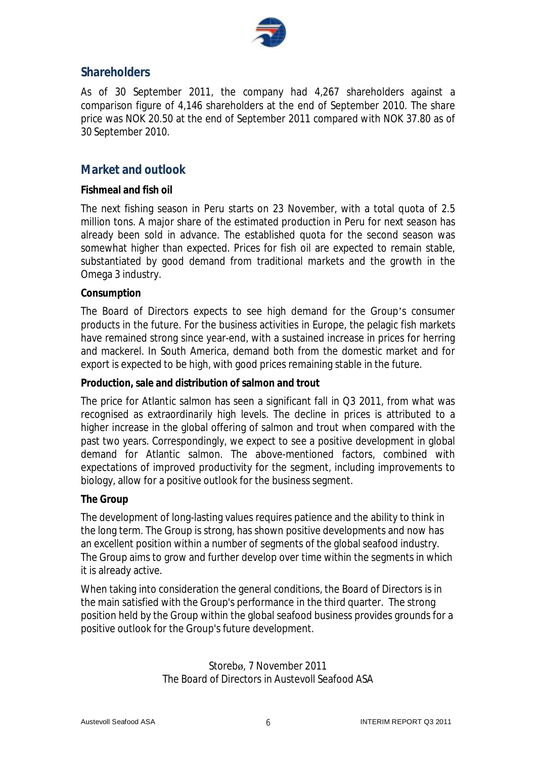

## **Shareholders**

As of 30 September 2011, the company had 4,267 shareholders against a comparison figure of 4,146 shareholders at the end of September 2010. The share price was NOK 20.50 at the end of September 2011 compared with NOK 37.80 as of 30 September 2010.

## **Market and outlook**

#### **Fishmeal and fish oil**

The next fishing season in Peru starts on 23 November, with a total quota of 2.5 million tons. A major share of the estimated production in Peru for next season has already been sold in advance. The established quota for the second season was somewhat higher than expected. Prices for fish oil are expected to remain stable, substantiated by good demand from traditional markets and the growth in the Omega 3 industry.

#### **Consumption**

The Board of Directors expects to see high demand for the Group's consumer products in the future. For the business activities in Europe, the pelagic fish markets have remained strong since year-end, with a sustained increase in prices for herring and mackerel. In South America, demand both from the domestic market and for export is expected to be high, with good prices remaining stable in the future.

#### **Production, sale and distribution of salmon and trout**

The price for Atlantic salmon has seen a significant fall in Q3 2011, from what was recognised as extraordinarily high levels. The decline in prices is attributed to a higher increase in the global offering of salmon and trout when compared with the past two years. Correspondingly, we expect to see a positive development in global demand for Atlantic salmon. The above-mentioned factors, combined with expectations of improved productivity for the segment, including improvements to biology, allow for a positive outlook for the business segment.

#### **The Group**

The development of long-lasting values requires patience and the ability to think in the long term. The Group is strong, has shown positive developments and now has an excellent position within a number of segments of the global seafood industry. The Group aims to grow and further develop over time within the segments in which it is already active.

When taking into consideration the general conditions, the Board of Directors is in the main satisfied with the Group's performance in the third quarter. The strong position held by the Group within the global seafood business provides grounds for a positive outlook for the Group's future development.

> Storebø, 7 November 2011 The Board of Directors in Austevoll Seafood ASA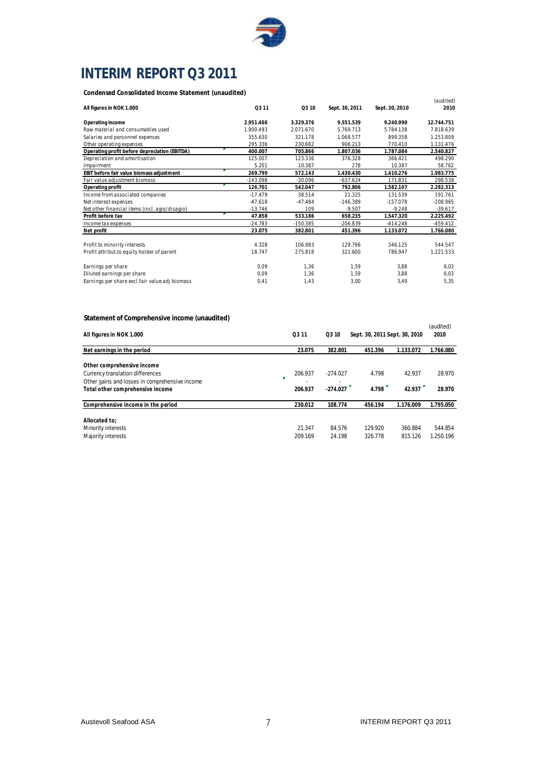

# **INTERIM REPORT Q3 2011**

**Condensed Consolidated Income Statement (unaudited)**

|                                                |            |            |                |                | (audited)  |
|------------------------------------------------|------------|------------|----------------|----------------|------------|
| All figures in NOK 1.000                       | Q3 11      | Q3 10      | Sept. 30, 2011 | Sept. 30, 2010 | 2010       |
| Operating income                               | 2.951.466  | 3.329.376  | 9.551.539      | 9.240.990      | 12.744.751 |
| Raw material and consumables used              | 1.900.493  | 2.071.670  | 5.769.713      | 5.784.138      | 7.818.639  |
| Salaries and personnel expenses                | 355.630    | 321.178    | 1.068.577      | 899.358        | 1.253.809  |
| Other operating expenses                       | 295.336    | 230.662    | 906.213        | 770.410        | 1.131.476  |
| Operating profit before depreciation (EBITDA)  | 400.007    | 705.866    | 1.807.036      | 1.787.084      | 2.540.827  |
| Depreciation and amortisation                  | 125.007    | 123.336    | 376.328        | 366.421        | 498.290    |
| Impairment                                     | 5.201      | 10.387     | 278            | 10.387         | 58.762     |
| EBIT before fair value biomass adjustment      | 269.799    | 572.143    | 1.430.430      | 1.410.276      | 1.983.775  |
| Fair value adjustment biomass                  | $-143.098$ | $-30.096$  | $-637.624$     | 171.831        | 298.538    |
| Operating profit                               | 126.701    | 542.047    | 792.806        | 1.582.107      | 2.282.313  |
| Income from associated companies               | $-17.479$  | 38.514     | 21.325         | 131.539        | 191.761    |
| Net interest expenses                          | $-47.618$  | $-47.484$  | $-146.389$     | $-157.078$     | $-208.965$ |
| Net other financial items (incl. agio/disagio) | $-13.746$  | 109        | $-9.507$       | $-9.248$       | $-39.617$  |
| Profit before tax                              | 47.858     | 533.186    | 658.235        | 1.547.320      | 2.225.492  |
| Income tax expenses                            | $-24.783$  | $-150.385$ | $-206.839$     | $-414.248$     | $-459.412$ |
| Net profit                                     | 23.075     | 382.801    | 451.396        | 1.133.072      | 1.766.080  |
|                                                |            |            |                |                |            |
| Profit to minority interests                   | 4.328      | 106.983    | 129.796        | 346.125        | 544.547    |
| Profit attribut to equity holder of parent     | 18.747     | 275.818    | 321.600        | 786.947        | 1.221.533  |
| Earnings per share                             | 0,09       | 1,36       | 1,59           | 3,88           | 6,03       |
| Diluted earnings per share                     | 0.09       | 1.36       | 1,59           | 3,88           | 6,03       |
| Earnings per share excl.fair value adj biomass | 0,41       | 1,43       | 3,00           | 3,49           | 5,35       |

#### **Statement of Comprehensive income (unaudited)**

| statement or comprenensive income (unaddited)                                                                                                        |                    |                          |                               |                    |                      |
|------------------------------------------------------------------------------------------------------------------------------------------------------|--------------------|--------------------------|-------------------------------|--------------------|----------------------|
| All figures in NOK 1.000                                                                                                                             | Q3 11              | Q3 10                    | Sept. 30, 2011 Sept. 30, 2010 |                    | (audited)<br>2010    |
| Net earnings in the period                                                                                                                           | 23.075             | 382.801                  | 451.396                       | 1.133.072          | 1.766.080            |
| Other comprehensive income<br>Currency translation differences<br>Other gains and losses in comprehensive income<br>Total other comprehensive income | 206.937<br>206.937 | $-274.027$<br>$-274.027$ | 4.798<br>4.798                | 42.937<br>42.937   | 28.970<br>28.970     |
| Comprehensive income in the period                                                                                                                   | 230.012            | 108.774                  | 456.194                       | 1.176.009          | 1.795.050            |
| Allocated to:<br>Minority interests<br>Majority interests                                                                                            | 21.347<br>209.169  | 84.576<br>24.198         | 129.920<br>326.778            | 360.884<br>815.126 | 544.854<br>1.250.196 |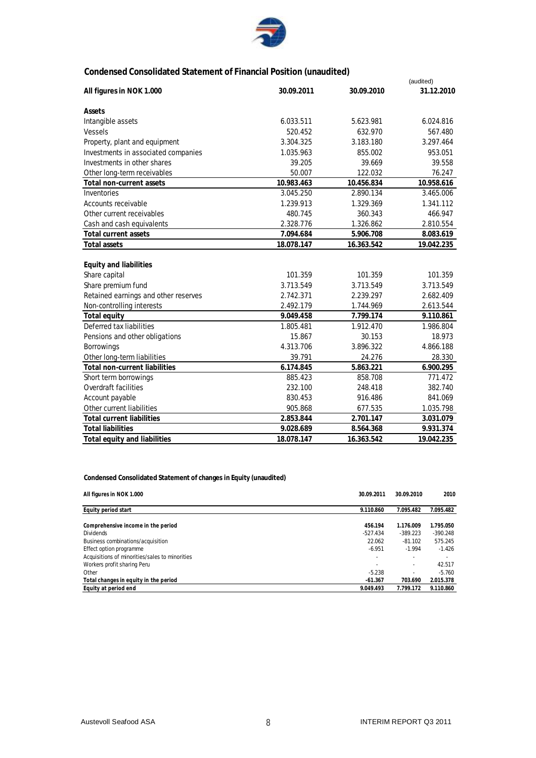

### **Condensed Consolidated Statement of Financial Position (unaudited)**

|                                      |            |            | (audited)  |
|--------------------------------------|------------|------------|------------|
| All figures in NOK 1.000             | 30.09.2011 | 30.09.2010 | 31.12.2010 |
| Assets                               |            |            |            |
| Intangible assets                    | 6.033.511  | 5.623.981  | 6.024.816  |
| <b>Vessels</b>                       | 520.452    | 632.970    | 567.480    |
| Property, plant and equipment        | 3.304.325  | 3.183.180  | 3.297.464  |
| Investments in associated companies  | 1.035.963  | 855.002    | 953.051    |
| Investments in other shares          | 39.205     | 39.669     | 39.558     |
| Other long-term receivables          | 50.007     | 122.032    | 76.247     |
| Total non-current assets             | 10.983.463 | 10.456.834 | 10.958.616 |
| Inventories                          | 3.045.250  | 2.890.134  | 3.465.006  |
| <b>Accounts receivable</b>           | 1.239.913  | 1.329.369  | 1.341.112  |
| Other current receivables            | 480.745    | 360.343    | 466.947    |
| Cash and cash equivalents            | 2.328.776  | 1.326.862  | 2.810.554  |
| <b>Total current assets</b>          | 7.094.684  | 5.906.708  | 8.083.619  |
| <b>Total assets</b>                  | 18.078.147 | 16.363.542 | 19.042.235 |
|                                      |            |            |            |
| <b>Equity and liabilities</b>        |            |            |            |
| Share capital                        | 101.359    | 101.359    | 101.359    |
| Share premium fund                   | 3.713.549  | 3.713.549  | 3.713.549  |
| Retained earnings and other reserves | 2.742.371  | 2.239.297  | 2.682.409  |
| Non-controlling interests            | 2.492.179  | 1.744.969  | 2.613.544  |
| <b>Total equity</b>                  | 9.049.458  | 7.799.174  | 9.110.861  |
| Deferred tax liabilities             | 1.805.481  | 1.912.470  | 1.986.804  |
| Pensions and other obligations       | 15.867     | 30.153     | 18.973     |
| <b>Borrowings</b>                    | 4.313.706  | 3.896.322  | 4.866.188  |
| Other long-term liabilities          | 39.791     | 24.276     | 28.330     |
| <b>Total non-current liabilities</b> | 6.174.845  | 5.863.221  | 6.900.295  |
| Short term borrowings                | 885.423    | 858.708    | 771.472    |
| Overdraft facilities                 | 232.100    | 248.418    | 382.740    |
| Account payable                      | 830.453    | 916.486    | 841.069    |
| Other current liabilities            | 905.868    | 677.535    | 1.035.798  |
| <b>Total current liabilities</b>     | 2.853.844  | 2.701.147  | 3.031.079  |
| <b>Total liabilities</b>             | 9.028.689  | 8.564.368  | 9.931.374  |
| <b>Total equity and liabilities</b>  | 18.078.147 | 16.363.542 | 19.042.235 |

**Condensed Consolidated Statement of changes in Equity (unaudited)**

| All figures in NOK 1.000                       | 30.09.2011 | 30.09.2010 | 2010       |
|------------------------------------------------|------------|------------|------------|
| Equity period start                            | 9.110.860  | 7.095.482  | 7.095.482  |
| Comprehensive income in the period             | 456.194    | 1.176.009  | 1.795.050  |
| <b>Dividends</b>                               | $-527.434$ | $-389.223$ | $-390.248$ |
| Business combinations/acquisition              | 22.062     | $-81.102$  | 575.245    |
| Effect option programme                        | $-6.951$   | $-1.994$   | $-1.426$   |
| Acquisitions of minorities/sales to minorities |            |            |            |
| Workers profit sharing Peru                    |            |            | 42.517     |
| Other                                          | $-5.238$   |            | $-5.760$   |
| Total changes in equity in the period          | $-61.367$  | 703.690    | 2.015.378  |
| Equity at period end                           | 9.049.493  | 7.799.172  | 9.110.860  |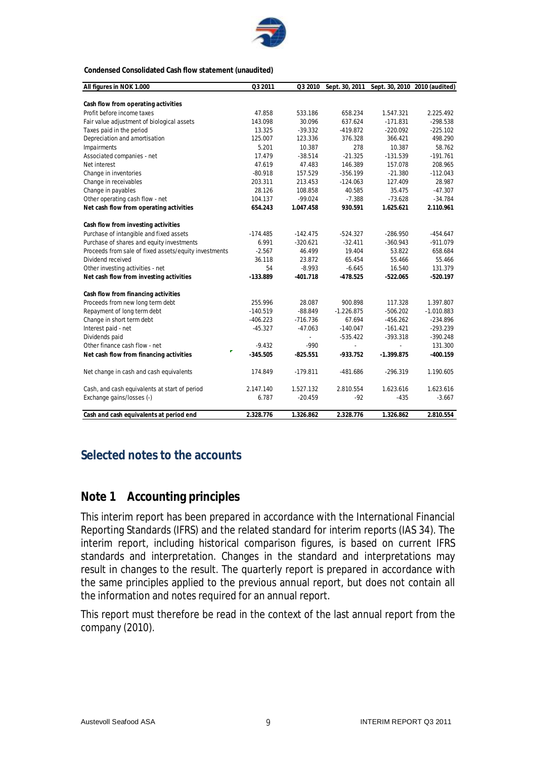

#### **Condensed Consolidated Cash flow statement (unaudited)**

| All figures in NOK 1.000                              | Q3 2011    | Q3 2010    | Sept. 30, 2011 |              | Sept. 30, 2010 2010 (audited) |
|-------------------------------------------------------|------------|------------|----------------|--------------|-------------------------------|
|                                                       |            |            |                |              |                               |
| Cash flow from operating activities                   |            |            |                |              |                               |
| Profit before income taxes                            | 47.858     | 533.186    | 658.234        | 1.547.321    | 2.225.492                     |
| Fair value adjustment of biological assets            | 143.098    | 30.096     | 637.624        | $-171.831$   | $-298.538$                    |
| Taxes paid in the period                              | 13.325     | $-39.332$  | $-419.872$     | $-220.092$   | $-225.102$                    |
| Depreciation and amortisation                         | 125.007    | 123.336    | 376.328        | 366.421      | 498.290                       |
| Impairments                                           | 5.201      | 10.387     | 278            | 10.387       | 58.762                        |
| Associated companies - net                            | 17.479     | $-38.514$  | $-21.325$      | $-131.539$   | $-191.761$                    |
| Net interest                                          | 47.619     | 47.483     | 146.389        | 157.078      | 208.965                       |
| Change in inventories                                 | $-80.918$  | 157.529    | $-356.199$     | $-21.380$    | $-112.043$                    |
| Change in receivables                                 | 203.311    | 213.453    | $-124.063$     | 127.409      | 28.987                        |
| Change in payables                                    | 28.126     | 108.858    | 40.585         | 35.475       | $-47.307$                     |
| Other operating cash flow - net                       | 104.137    | $-99.024$  | $-7.388$       | $-73.628$    | $-34.784$                     |
| Net cash flow from operating activities               | 654.243    | 1.047.458  | 930.591        | 1.625.621    | 2.110.961                     |
| Cash flow from investing activities                   |            |            |                |              |                               |
| Purchase of intangible and fixed assets               | $-174.485$ | $-142.475$ | $-524.327$     | $-286.950$   | $-454.647$                    |
| Purchase of shares and equity investments             | 6.991      | $-320.621$ | $-32.411$      | $-360.943$   | $-911.079$                    |
| Proceeds from sale of fixed assets/equity investments | $-2.567$   | 46.499     | 19.404         | 53.822       | 658.684                       |
| Dividend received                                     | 36.118     | 23.872     | 65.454         | 55.466       | 55.466                        |
| Other investing activities - net                      | 54         | $-8.993$   | $-6.645$       | 16.540       | 131.379                       |
| Net cash flow from investing activities               | $-133.889$ | $-401.718$ | $-478.525$     | $-522.065$   | $-520.197$                    |
| Cash flow from financing activities                   |            |            |                |              |                               |
| Proceeds from new long term debt                      | 255.996    | 28.087     | 900.898        | 117.328      | 1.397.807                     |
| Repayment of long term debt                           | $-140.519$ | $-88.849$  | $-1.226.875$   | $-506.202$   | $-1.010.883$                  |
| Change in short term debt                             | $-406.223$ | $-716.736$ | 67.694         | $-456.262$   | $-234.896$                    |
| Interest paid - net                                   | $-45.327$  | $-47.063$  | $-140.047$     | $-161.421$   | $-293.239$                    |
| Dividends paid                                        |            |            | $-535.422$     | $-393.318$   | $-390.248$                    |
| Other finance cash flow - net                         | $-9.432$   | $-990$     |                |              | 131.300                       |
| Net cash flow from financing activities               | $-345.505$ | $-825.551$ | $-933.752$     | $-1.399.875$ | $-400.159$                    |
| Net change in cash and cash equivalents               | 174.849    | $-179.811$ | $-481.686$     | $-296.319$   | 1.190.605                     |
| Cash, and cash equivalents at start of period         | 2.147.140  | 1.527.132  | 2.810.554      | 1.623.616    | 1.623.616                     |
| Exchange gains/losses (-)                             | 6.787      | $-20.459$  | -92            | $-435$       | $-3.667$                      |
| Cash and cash equivalents at period end               | 2.328.776  | 1.326.862  | 2.328.776      | 1.326.862    | 2.810.554                     |

## **Selected notes to the accounts**

## **Note 1 Accounting principles**

This interim report has been prepared in accordance with the International Financial Reporting Standards (IFRS) and the related standard for interim reports (IAS 34). The interim report, including historical comparison figures, is based on current IFRS standards and interpretation. Changes in the standard and interpretations may result in changes to the result. The quarterly report is prepared in accordance with the same principles applied to the previous annual report, but does not contain all the information and notes required for an annual report.

This report must therefore be read in the context of the last annual report from the company (2010).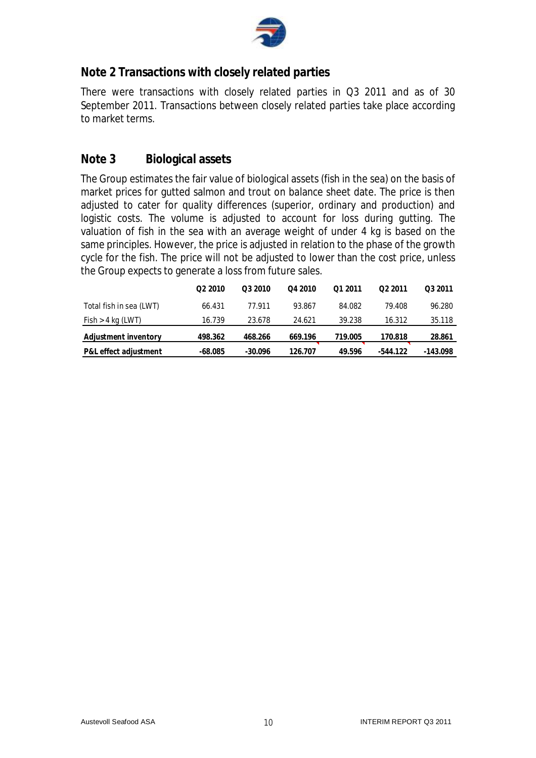

## **Note 2 Transactions with closely related parties**

There were transactions with closely related parties in Q3 2011 and as of 30 September 2011. Transactions between closely related parties take place according to market terms.

## **Note 3 Biological assets**

The Group estimates the fair value of biological assets (fish in the sea) on the basis of market prices for gutted salmon and trout on balance sheet date. The price is then adjusted to cater for quality differences (superior, ordinary and production) and logistic costs. The volume is adjusted to account for loss during gutting. The valuation of fish in the sea with an average weight of under 4 kg is based on the same principles. However, the price is adjusted in relation to the phase of the growth cycle for the fish. The price will not be adjusted to lower than the cost price, unless the Group expects to generate a loss from future sales.

|                         | O <sub>2</sub> 2010 | Q3 2010   | Q4 2010 | Q1 2011 | 02 2011    | O <sub>3</sub> 2011 |
|-------------------------|---------------------|-----------|---------|---------|------------|---------------------|
| Total fish in sea (LWT) | 66.431              | 77.911    | 93.867  | 84.082  | 79.408     | 96.280              |
| Fish > 4 kg (LWT)       | 16.739              | 23.678    | 24.621  | 39.238  | 16.312     | 35.118              |
| Adjustment inventory    | 498.362             | 468.266   | 669.196 | 719.005 | 170.818    | 28.861              |
| P&L effect adjustment   | $-68.085$           | $-30.096$ | 126.707 | 49.596  | $-544.122$ | -143.098            |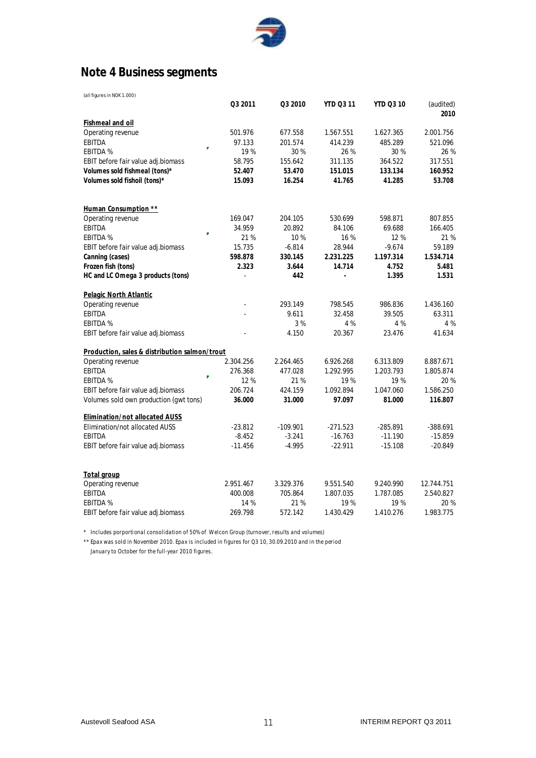

# **Note 4 Business segments**

| Q3 2011<br>Q3 2010<br><b>YTD Q3 11</b><br>(audited)<br><b>YTD Q3 10</b><br>2010<br>Fishmeal and oil<br>2.001.756<br>Operating revenue<br>501.976<br>677.558<br>1.567.551<br>1.627.365<br>521.096<br><b>EBITDA</b><br>97.133<br>201.574<br>414.239<br>485.289<br>×<br><b>EBITDA %</b><br>19%<br>30 %<br>26 %<br>30 %<br>26 %<br>EBIT before fair value adj.biomass<br>58.795<br>155.642<br>311.135<br>364.522<br>317.551<br>Volumes sold fishmeal (tons)*<br>52.407<br>53.470<br>151.015<br>133.134<br>160.952<br>Volumes sold fishoil (tons)*<br>15.093<br>16.254<br>41.765<br>41.285<br>53.708<br>Human Consumption **<br>169.047<br>204.105<br>530.699<br>598.871<br>Operating revenue<br>807.855<br>EBITDA<br>34.959<br>20.892<br>84.106<br>69.688<br>166.405<br>21 %<br><b>EBITDA %</b><br>21 %<br>10%<br>16 %<br>12 %<br>15.735<br>$-6.814$<br>28.944<br>$-9.674$<br>59.189<br>EBIT before fair value adj.biomass<br>598.878<br>330.145<br>2.231.225<br>1.197.314<br>1.534.714<br>Canning (cases)<br>Frozen fish (tons)<br>3.644<br>2.323<br>14.714<br>4.752<br>5.481<br>HC and LC Omega 3 products (tons)<br>442<br>1.395<br>1.531<br>$\overline{a}$<br>$\overline{\phantom{a}}$<br>Pelagic North Atlantic<br>293.149<br>1.436.160<br>Operating revenue<br>798.545<br>986.836<br>39.505<br><b>EBITDA</b><br>9.611<br>32.458<br>63.311<br><b>EBITDA %</b><br>3%<br>4 %<br>4 %<br>4 %<br>EBIT before fair value adj.biomass<br>4.150<br>20.367<br>23.476<br>41.634<br>Production, sales & distribution salmon/trout<br>2.304.256<br>2.264.465<br>8.887.671<br>Operating revenue<br>6.926.268<br>6.313.809<br><b>EBITDA</b><br>477.028<br>1.292.995<br>1.805.874<br>276.368<br>1.203.793<br><b>EBITDA %</b><br>12%<br>21 %<br>19 %<br>19 %<br>20 %<br>EBIT before fair value adj.biomass<br>206.724<br>424.159<br>1.092.894<br>1.047.060<br>1.586.250<br>Volumes sold own production (gwt tons)<br>36.000<br>31.000<br>97.097<br>81.000<br>116.807<br><b>Elimination/not allocated AUSS</b><br>Elimination/not allocated AUSS<br>$-23.812$<br>$-109.901$<br>$-271.523$<br>$-285.891$<br>$-388.691$<br><b>EBITDA</b><br>$-16.763$<br>$-8.452$<br>$-3.241$<br>$-11.190$<br>$-15.859$<br>$-11.456$<br>EBIT before fair value adj.biomass<br>$-4.995$<br>$-22.911$<br>$-15.108$<br>$-20.849$<br>Total group<br>2.951.467<br>3.329.376<br>Operating revenue<br>9.551.540<br>9.240.990<br>12.744.751<br><b>EBITDA</b><br>400.008<br>705.864<br>1.807.035<br>1.787.085<br>2.540.827<br><b>EBITDA %</b><br>14 %<br>19%<br>19 %<br>20 %<br>21%<br>269.798<br>572.142<br>1.430.429<br>1.410.276<br>1.983.775<br>EBIT before fair value adj.biomass | (all figures in NOK 1.000) |  |  |  |
|---------------------------------------------------------------------------------------------------------------------------------------------------------------------------------------------------------------------------------------------------------------------------------------------------------------------------------------------------------------------------------------------------------------------------------------------------------------------------------------------------------------------------------------------------------------------------------------------------------------------------------------------------------------------------------------------------------------------------------------------------------------------------------------------------------------------------------------------------------------------------------------------------------------------------------------------------------------------------------------------------------------------------------------------------------------------------------------------------------------------------------------------------------------------------------------------------------------------------------------------------------------------------------------------------------------------------------------------------------------------------------------------------------------------------------------------------------------------------------------------------------------------------------------------------------------------------------------------------------------------------------------------------------------------------------------------------------------------------------------------------------------------------------------------------------------------------------------------------------------------------------------------------------------------------------------------------------------------------------------------------------------------------------------------------------------------------------------------------------------------------------------------------------------------------------------------------------------------------------------------------------------------------------------------------------------------------------------------------------------------------------------------------------------------------------------------------------------------------------------------------------------------------------------------------------------------------------------------------------------------------------------------|----------------------------|--|--|--|
|                                                                                                                                                                                                                                                                                                                                                                                                                                                                                                                                                                                                                                                                                                                                                                                                                                                                                                                                                                                                                                                                                                                                                                                                                                                                                                                                                                                                                                                                                                                                                                                                                                                                                                                                                                                                                                                                                                                                                                                                                                                                                                                                                                                                                                                                                                                                                                                                                                                                                                                                                                                                                                             |                            |  |  |  |
|                                                                                                                                                                                                                                                                                                                                                                                                                                                                                                                                                                                                                                                                                                                                                                                                                                                                                                                                                                                                                                                                                                                                                                                                                                                                                                                                                                                                                                                                                                                                                                                                                                                                                                                                                                                                                                                                                                                                                                                                                                                                                                                                                                                                                                                                                                                                                                                                                                                                                                                                                                                                                                             |                            |  |  |  |
|                                                                                                                                                                                                                                                                                                                                                                                                                                                                                                                                                                                                                                                                                                                                                                                                                                                                                                                                                                                                                                                                                                                                                                                                                                                                                                                                                                                                                                                                                                                                                                                                                                                                                                                                                                                                                                                                                                                                                                                                                                                                                                                                                                                                                                                                                                                                                                                                                                                                                                                                                                                                                                             |                            |  |  |  |
|                                                                                                                                                                                                                                                                                                                                                                                                                                                                                                                                                                                                                                                                                                                                                                                                                                                                                                                                                                                                                                                                                                                                                                                                                                                                                                                                                                                                                                                                                                                                                                                                                                                                                                                                                                                                                                                                                                                                                                                                                                                                                                                                                                                                                                                                                                                                                                                                                                                                                                                                                                                                                                             |                            |  |  |  |
|                                                                                                                                                                                                                                                                                                                                                                                                                                                                                                                                                                                                                                                                                                                                                                                                                                                                                                                                                                                                                                                                                                                                                                                                                                                                                                                                                                                                                                                                                                                                                                                                                                                                                                                                                                                                                                                                                                                                                                                                                                                                                                                                                                                                                                                                                                                                                                                                                                                                                                                                                                                                                                             |                            |  |  |  |
|                                                                                                                                                                                                                                                                                                                                                                                                                                                                                                                                                                                                                                                                                                                                                                                                                                                                                                                                                                                                                                                                                                                                                                                                                                                                                                                                                                                                                                                                                                                                                                                                                                                                                                                                                                                                                                                                                                                                                                                                                                                                                                                                                                                                                                                                                                                                                                                                                                                                                                                                                                                                                                             |                            |  |  |  |
|                                                                                                                                                                                                                                                                                                                                                                                                                                                                                                                                                                                                                                                                                                                                                                                                                                                                                                                                                                                                                                                                                                                                                                                                                                                                                                                                                                                                                                                                                                                                                                                                                                                                                                                                                                                                                                                                                                                                                                                                                                                                                                                                                                                                                                                                                                                                                                                                                                                                                                                                                                                                                                             |                            |  |  |  |
|                                                                                                                                                                                                                                                                                                                                                                                                                                                                                                                                                                                                                                                                                                                                                                                                                                                                                                                                                                                                                                                                                                                                                                                                                                                                                                                                                                                                                                                                                                                                                                                                                                                                                                                                                                                                                                                                                                                                                                                                                                                                                                                                                                                                                                                                                                                                                                                                                                                                                                                                                                                                                                             |                            |  |  |  |
|                                                                                                                                                                                                                                                                                                                                                                                                                                                                                                                                                                                                                                                                                                                                                                                                                                                                                                                                                                                                                                                                                                                                                                                                                                                                                                                                                                                                                                                                                                                                                                                                                                                                                                                                                                                                                                                                                                                                                                                                                                                                                                                                                                                                                                                                                                                                                                                                                                                                                                                                                                                                                                             |                            |  |  |  |
|                                                                                                                                                                                                                                                                                                                                                                                                                                                                                                                                                                                                                                                                                                                                                                                                                                                                                                                                                                                                                                                                                                                                                                                                                                                                                                                                                                                                                                                                                                                                                                                                                                                                                                                                                                                                                                                                                                                                                                                                                                                                                                                                                                                                                                                                                                                                                                                                                                                                                                                                                                                                                                             |                            |  |  |  |
|                                                                                                                                                                                                                                                                                                                                                                                                                                                                                                                                                                                                                                                                                                                                                                                                                                                                                                                                                                                                                                                                                                                                                                                                                                                                                                                                                                                                                                                                                                                                                                                                                                                                                                                                                                                                                                                                                                                                                                                                                                                                                                                                                                                                                                                                                                                                                                                                                                                                                                                                                                                                                                             |                            |  |  |  |
|                                                                                                                                                                                                                                                                                                                                                                                                                                                                                                                                                                                                                                                                                                                                                                                                                                                                                                                                                                                                                                                                                                                                                                                                                                                                                                                                                                                                                                                                                                                                                                                                                                                                                                                                                                                                                                                                                                                                                                                                                                                                                                                                                                                                                                                                                                                                                                                                                                                                                                                                                                                                                                             |                            |  |  |  |
|                                                                                                                                                                                                                                                                                                                                                                                                                                                                                                                                                                                                                                                                                                                                                                                                                                                                                                                                                                                                                                                                                                                                                                                                                                                                                                                                                                                                                                                                                                                                                                                                                                                                                                                                                                                                                                                                                                                                                                                                                                                                                                                                                                                                                                                                                                                                                                                                                                                                                                                                                                                                                                             |                            |  |  |  |
|                                                                                                                                                                                                                                                                                                                                                                                                                                                                                                                                                                                                                                                                                                                                                                                                                                                                                                                                                                                                                                                                                                                                                                                                                                                                                                                                                                                                                                                                                                                                                                                                                                                                                                                                                                                                                                                                                                                                                                                                                                                                                                                                                                                                                                                                                                                                                                                                                                                                                                                                                                                                                                             |                            |  |  |  |
|                                                                                                                                                                                                                                                                                                                                                                                                                                                                                                                                                                                                                                                                                                                                                                                                                                                                                                                                                                                                                                                                                                                                                                                                                                                                                                                                                                                                                                                                                                                                                                                                                                                                                                                                                                                                                                                                                                                                                                                                                                                                                                                                                                                                                                                                                                                                                                                                                                                                                                                                                                                                                                             |                            |  |  |  |
|                                                                                                                                                                                                                                                                                                                                                                                                                                                                                                                                                                                                                                                                                                                                                                                                                                                                                                                                                                                                                                                                                                                                                                                                                                                                                                                                                                                                                                                                                                                                                                                                                                                                                                                                                                                                                                                                                                                                                                                                                                                                                                                                                                                                                                                                                                                                                                                                                                                                                                                                                                                                                                             |                            |  |  |  |
|                                                                                                                                                                                                                                                                                                                                                                                                                                                                                                                                                                                                                                                                                                                                                                                                                                                                                                                                                                                                                                                                                                                                                                                                                                                                                                                                                                                                                                                                                                                                                                                                                                                                                                                                                                                                                                                                                                                                                                                                                                                                                                                                                                                                                                                                                                                                                                                                                                                                                                                                                                                                                                             |                            |  |  |  |
|                                                                                                                                                                                                                                                                                                                                                                                                                                                                                                                                                                                                                                                                                                                                                                                                                                                                                                                                                                                                                                                                                                                                                                                                                                                                                                                                                                                                                                                                                                                                                                                                                                                                                                                                                                                                                                                                                                                                                                                                                                                                                                                                                                                                                                                                                                                                                                                                                                                                                                                                                                                                                                             |                            |  |  |  |
|                                                                                                                                                                                                                                                                                                                                                                                                                                                                                                                                                                                                                                                                                                                                                                                                                                                                                                                                                                                                                                                                                                                                                                                                                                                                                                                                                                                                                                                                                                                                                                                                                                                                                                                                                                                                                                                                                                                                                                                                                                                                                                                                                                                                                                                                                                                                                                                                                                                                                                                                                                                                                                             |                            |  |  |  |
|                                                                                                                                                                                                                                                                                                                                                                                                                                                                                                                                                                                                                                                                                                                                                                                                                                                                                                                                                                                                                                                                                                                                                                                                                                                                                                                                                                                                                                                                                                                                                                                                                                                                                                                                                                                                                                                                                                                                                                                                                                                                                                                                                                                                                                                                                                                                                                                                                                                                                                                                                                                                                                             |                            |  |  |  |
|                                                                                                                                                                                                                                                                                                                                                                                                                                                                                                                                                                                                                                                                                                                                                                                                                                                                                                                                                                                                                                                                                                                                                                                                                                                                                                                                                                                                                                                                                                                                                                                                                                                                                                                                                                                                                                                                                                                                                                                                                                                                                                                                                                                                                                                                                                                                                                                                                                                                                                                                                                                                                                             |                            |  |  |  |
|                                                                                                                                                                                                                                                                                                                                                                                                                                                                                                                                                                                                                                                                                                                                                                                                                                                                                                                                                                                                                                                                                                                                                                                                                                                                                                                                                                                                                                                                                                                                                                                                                                                                                                                                                                                                                                                                                                                                                                                                                                                                                                                                                                                                                                                                                                                                                                                                                                                                                                                                                                                                                                             |                            |  |  |  |
|                                                                                                                                                                                                                                                                                                                                                                                                                                                                                                                                                                                                                                                                                                                                                                                                                                                                                                                                                                                                                                                                                                                                                                                                                                                                                                                                                                                                                                                                                                                                                                                                                                                                                                                                                                                                                                                                                                                                                                                                                                                                                                                                                                                                                                                                                                                                                                                                                                                                                                                                                                                                                                             |                            |  |  |  |
|                                                                                                                                                                                                                                                                                                                                                                                                                                                                                                                                                                                                                                                                                                                                                                                                                                                                                                                                                                                                                                                                                                                                                                                                                                                                                                                                                                                                                                                                                                                                                                                                                                                                                                                                                                                                                                                                                                                                                                                                                                                                                                                                                                                                                                                                                                                                                                                                                                                                                                                                                                                                                                             |                            |  |  |  |
|                                                                                                                                                                                                                                                                                                                                                                                                                                                                                                                                                                                                                                                                                                                                                                                                                                                                                                                                                                                                                                                                                                                                                                                                                                                                                                                                                                                                                                                                                                                                                                                                                                                                                                                                                                                                                                                                                                                                                                                                                                                                                                                                                                                                                                                                                                                                                                                                                                                                                                                                                                                                                                             |                            |  |  |  |
|                                                                                                                                                                                                                                                                                                                                                                                                                                                                                                                                                                                                                                                                                                                                                                                                                                                                                                                                                                                                                                                                                                                                                                                                                                                                                                                                                                                                                                                                                                                                                                                                                                                                                                                                                                                                                                                                                                                                                                                                                                                                                                                                                                                                                                                                                                                                                                                                                                                                                                                                                                                                                                             |                            |  |  |  |
|                                                                                                                                                                                                                                                                                                                                                                                                                                                                                                                                                                                                                                                                                                                                                                                                                                                                                                                                                                                                                                                                                                                                                                                                                                                                                                                                                                                                                                                                                                                                                                                                                                                                                                                                                                                                                                                                                                                                                                                                                                                                                                                                                                                                                                                                                                                                                                                                                                                                                                                                                                                                                                             |                            |  |  |  |
|                                                                                                                                                                                                                                                                                                                                                                                                                                                                                                                                                                                                                                                                                                                                                                                                                                                                                                                                                                                                                                                                                                                                                                                                                                                                                                                                                                                                                                                                                                                                                                                                                                                                                                                                                                                                                                                                                                                                                                                                                                                                                                                                                                                                                                                                                                                                                                                                                                                                                                                                                                                                                                             |                            |  |  |  |
|                                                                                                                                                                                                                                                                                                                                                                                                                                                                                                                                                                                                                                                                                                                                                                                                                                                                                                                                                                                                                                                                                                                                                                                                                                                                                                                                                                                                                                                                                                                                                                                                                                                                                                                                                                                                                                                                                                                                                                                                                                                                                                                                                                                                                                                                                                                                                                                                                                                                                                                                                                                                                                             |                            |  |  |  |
|                                                                                                                                                                                                                                                                                                                                                                                                                                                                                                                                                                                                                                                                                                                                                                                                                                                                                                                                                                                                                                                                                                                                                                                                                                                                                                                                                                                                                                                                                                                                                                                                                                                                                                                                                                                                                                                                                                                                                                                                                                                                                                                                                                                                                                                                                                                                                                                                                                                                                                                                                                                                                                             |                            |  |  |  |
|                                                                                                                                                                                                                                                                                                                                                                                                                                                                                                                                                                                                                                                                                                                                                                                                                                                                                                                                                                                                                                                                                                                                                                                                                                                                                                                                                                                                                                                                                                                                                                                                                                                                                                                                                                                                                                                                                                                                                                                                                                                                                                                                                                                                                                                                                                                                                                                                                                                                                                                                                                                                                                             |                            |  |  |  |
|                                                                                                                                                                                                                                                                                                                                                                                                                                                                                                                                                                                                                                                                                                                                                                                                                                                                                                                                                                                                                                                                                                                                                                                                                                                                                                                                                                                                                                                                                                                                                                                                                                                                                                                                                                                                                                                                                                                                                                                                                                                                                                                                                                                                                                                                                                                                                                                                                                                                                                                                                                                                                                             |                            |  |  |  |
|                                                                                                                                                                                                                                                                                                                                                                                                                                                                                                                                                                                                                                                                                                                                                                                                                                                                                                                                                                                                                                                                                                                                                                                                                                                                                                                                                                                                                                                                                                                                                                                                                                                                                                                                                                                                                                                                                                                                                                                                                                                                                                                                                                                                                                                                                                                                                                                                                                                                                                                                                                                                                                             |                            |  |  |  |
|                                                                                                                                                                                                                                                                                                                                                                                                                                                                                                                                                                                                                                                                                                                                                                                                                                                                                                                                                                                                                                                                                                                                                                                                                                                                                                                                                                                                                                                                                                                                                                                                                                                                                                                                                                                                                                                                                                                                                                                                                                                                                                                                                                                                                                                                                                                                                                                                                                                                                                                                                                                                                                             |                            |  |  |  |
|                                                                                                                                                                                                                                                                                                                                                                                                                                                                                                                                                                                                                                                                                                                                                                                                                                                                                                                                                                                                                                                                                                                                                                                                                                                                                                                                                                                                                                                                                                                                                                                                                                                                                                                                                                                                                                                                                                                                                                                                                                                                                                                                                                                                                                                                                                                                                                                                                                                                                                                                                                                                                                             |                            |  |  |  |
|                                                                                                                                                                                                                                                                                                                                                                                                                                                                                                                                                                                                                                                                                                                                                                                                                                                                                                                                                                                                                                                                                                                                                                                                                                                                                                                                                                                                                                                                                                                                                                                                                                                                                                                                                                                                                                                                                                                                                                                                                                                                                                                                                                                                                                                                                                                                                                                                                                                                                                                                                                                                                                             |                            |  |  |  |
|                                                                                                                                                                                                                                                                                                                                                                                                                                                                                                                                                                                                                                                                                                                                                                                                                                                                                                                                                                                                                                                                                                                                                                                                                                                                                                                                                                                                                                                                                                                                                                                                                                                                                                                                                                                                                                                                                                                                                                                                                                                                                                                                                                                                                                                                                                                                                                                                                                                                                                                                                                                                                                             |                            |  |  |  |

\* Includes porportional consolidation of 50% of Welcon Group (turnover, results and volumes)

\*\* Epax was sold in November 2010. Epax is included in figures for Q3 10, 30.09.2010 and in the period January to October for the full-year 2010 figures.